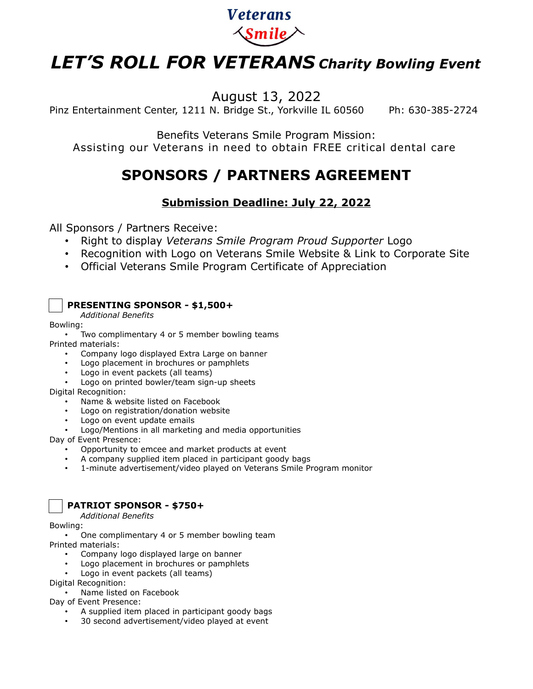

# *LET'S ROLL FOR VETERANS Charity Bowling Event*

August 13, 2022

Pinz Entertainment Center, 1211 N. Bridge St., Yorkville IL 60560 Ph: 630-385-2724

Benefits Veterans Smile Program Mission: Assisting our Veterans in need to obtain FREE critical dental care

## **SPONSORS / PARTNERS AGREEMENT**

### **Submission Deadline: July 22, 2022**

All Sponsors / Partners Receive:

- Right to display *Veterans Smile Program Proud Supporter* Logo
- Recognition with Logo on Veterans Smile Website & Link to Corporate Site
- Official Veterans Smile Program Certificate of Appreciation

#### **PRESENTING SPONSOR - \$1,500+**

*Additional Benefits*

Bowling:

Two complimentary 4 or 5 member bowling teams

Printed materials:

- Company logo displayed Extra Large on banner
- Logo placement in brochures or pamphlets
- Logo in event packets (all teams)
- Logo on printed bowler/team sign-up sheets

Digital Recognition:

- Name & website listed on Facebook
- Logo on registration/donation website
- Logo on event update emails
- Logo/Mentions in all marketing and media opportunities

Day of Event Presence:

- Opportunity to emcee and market products at event
- A company supplied item placed in participant goody bags
- 1-minute advertisement/video played on Veterans Smile Program monitor



#### **PATRIOT SPONSOR - \$750+**

*Additional Benefits*

Bowling:

- One complimentary 4 or 5 member bowling team Printed materials:
	- Company logo displayed large on banner
	- Logo placement in brochures or pamphlets
	- Logo in event packets (all teams)

Digital Recognition:

• Name listed on Facebook

Day of Event Presence:

- A supplied item placed in participant goody bags
- 30 second advertisement/video played at event